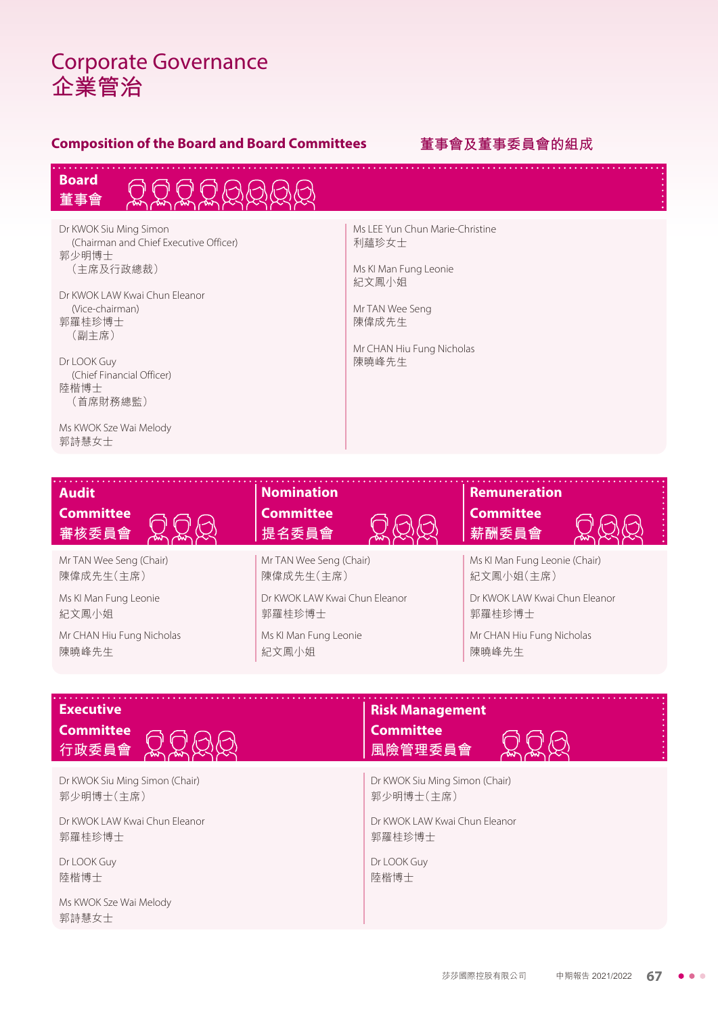# Corporate Governance **企業管治**

### **Composition of the Board and Board Committees 董事會及董事委員會的組成**

. . . . . . . . . . . . .





Dr KWOK Siu Ming Simon (Chairman and Chief Executive Officer) 郭少明博士 (主席及行政總裁)

Dr KWOK LAW Kwai Chun Eleanor (Vice-chairman) 郭羅桂珍博士 (副主席)

Dr LOOK Guy (Chief Financial Officer) 陸楷博士 (首席財務總監)

Ms KWOK Sze Wai Melody 郭詩慧女士

Ms LEE Yun Chun Marie-Christine 利蘊珍女士

Ms KI Man Fung Leonie 紀文鳳小姐

. . . . . . . . . . .

Mr TAN Wee Seng 陳偉成先生

Mr CHAN Hiu Fung Nicholas 陳曉峰先生

| <b>Audit</b>              | <b>Nomination</b>             | <b>Remuneration</b>            |  |  |  |
|---------------------------|-------------------------------|--------------------------------|--|--|--|
| <b>Committee</b>          | <b>Committee</b>              | <b>Committee</b>               |  |  |  |
| 審核委員會                     | 提名委員會                         | 薪酬委員會                          |  |  |  |
| Mr TAN Wee Seng (Chair)   | Mr TAN Wee Seng (Chair)       | Ms KI Man Fung Leonie (Chair)  |  |  |  |
| 陳偉成先生(主席)                 | 陳偉成先生(主席)                     | 紀文鳳小姐(主席)                      |  |  |  |
| Ms KI Man Fung Leonie     | Dr KWOK LAW Kwai Chun Fleanor | Dr KWOK I AW Kwai Chun Fleanor |  |  |  |
| 紀文鳳小姐                     | 郭羅桂珍博士                        | 郭羅桂珍博士                         |  |  |  |
| Mr CHAN Hiu Fung Nicholas | Ms KI Man Fung Leonie         | Mr CHAN Hiu Fung Nicholas      |  |  |  |
| 陳曉峰先生                     | 紀文鳳小姐                         | 陳曉峰先生                          |  |  |  |

| <b>Executive</b>                | <b>Risk Management</b>         |
|---------------------------------|--------------------------------|
| <b>Committee</b>                | <b>Committee</b>               |
| 行政委員會                           | 風險管理委員會                        |
| Dr KWOK Siu Ming Simon (Chair)  | Dr KWOK Siu Ming Simon (Chair) |
| 郭少明博士(主席)                       | 郭少明博士(主席)                      |
| Dr KWOK LAW Kwai Chun Fleanor   | Dr KWOK LAW Kwai Chun Fleanor  |
| 郭羅桂珍博士                          | 郭羅桂珍博士                         |
| Dr LOOK Guy                     | Dr LOOK Guy                    |
| 陸楷博士                            | 陸楷博士                           |
| Ms KWOK Sze Wai Melody<br>郭詩慧女士 |                                |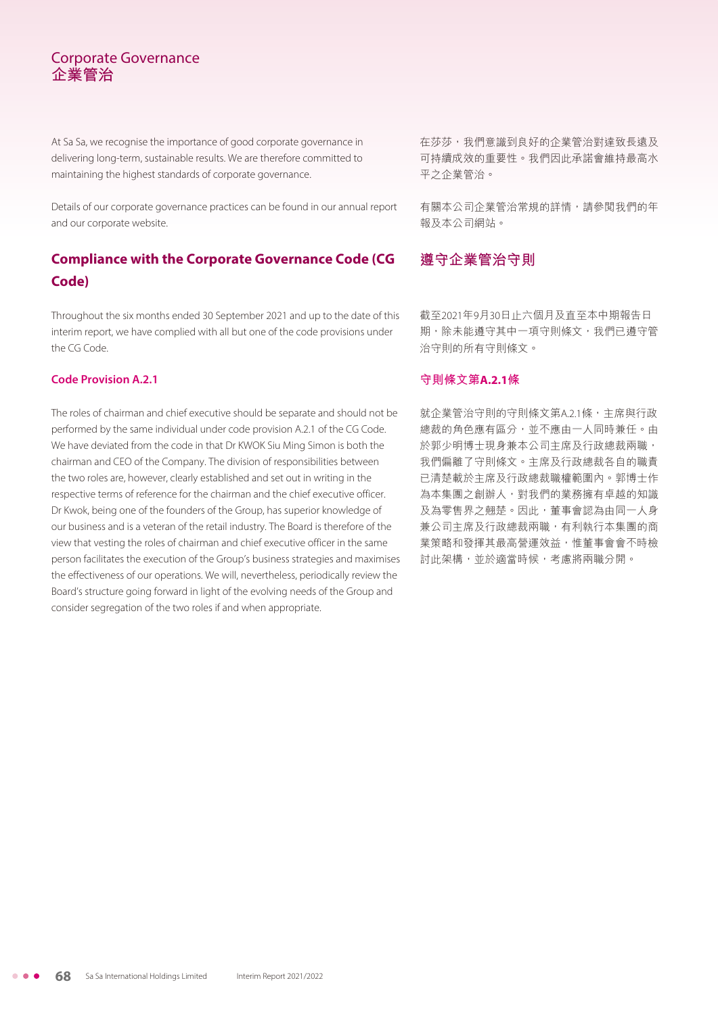## Corporate Governance **企業管治**

At Sa Sa, we recognise the importance of good corporate governance in delivering long-term, sustainable results. We are therefore committed to maintaining the highest standards of corporate governance.

Details of our corporate governance practices can be found in our annual report and our corporate website.

## **Compliance with the Corporate Governance Code (CG Code)**

Throughout the six months ended 30 September 2021 and up to the date of this interim report, we have complied with all but one of the code provisions under the CG Code.

#### **Code Provision A.2.1**

The roles of chairman and chief executive should be separate and should not be performed by the same individual under code provision A.2.1 of the CG Code. We have deviated from the code in that Dr KWOK Siu Ming Simon is both the chairman and CEO of the Company. The division of responsibilities between the two roles are, however, clearly established and set out in writing in the respective terms of reference for the chairman and the chief executive officer. Dr Kwok, being one of the founders of the Group, has superior knowledge of our business and is a veteran of the retail industry. The Board is therefore of the view that vesting the roles of chairman and chief executive officer in the same person facilitates the execution of the Group's business strategies and maximises the effectiveness of our operations. We will, nevertheless, periodically review the Board's structure going forward in light of the evolving needs of the Group and consider segregation of the two roles if and when appropriate.

在莎莎,我們意識到良好的企業管治對達致長遠及 可持續成效的重要性。我們因此承諾會維持最高水 平之企業管治。

有關本公司企業管治常規的詳情,請參閱我們的年 報及本公司網站。

## **遵守企業管治守則**

截至2021年9月30日止六個月及直至本中期報告日 期,除未能遵守其中一項守則條文,我們已遵守管 治守則的所有守則條文。

#### **守則條文第A.2.1條**

就企業管治守則的守則條文第A.2.1條,主席與行政 總裁的角色應有區分,並不應由一人同時兼任。由 於郭少明博士現身兼本公司主席及行政總裁兩職, 我們偏離了守則條文。主席及行政總裁各自的職責 已清楚載於主席及行政總裁職權範圍內。郭博士作 為本集團之創辦人,對我們的業務擁有卓越的知識 及為零售界之翹楚。因此,董事會認為由同一人身 兼公司主席及行政總裁兩職,有利執行本集團的商 業策略和發揮其最高營運效益,惟董事會會不時檢 討此架構,並於適當時候,考慮將兩職分開。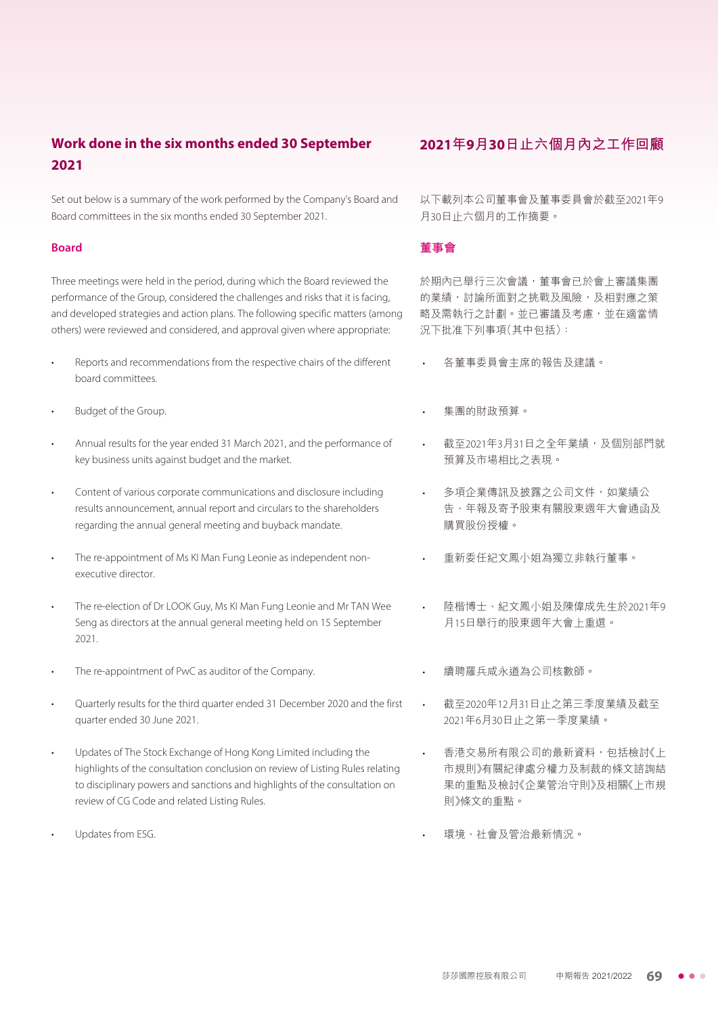## **Work done in the six months ended 30 September 2021**

Set out below is a summary of the work performed by the Company's Board and Board committees in the six months ended 30 September 2021.

#### **Board**

Three meetings were held in the period, during which the Board reviewed the performance of the Group, considered the challenges and risks that it is facing, and developed strategies and action plans. The following specific matters (among others) were reviewed and considered, and approval given where appropriate:

- Reports and recommendations from the respective chairs of the different board committees.
- Budget of the Group.
- Annual results for the year ended 31 March 2021, and the performance of key business units against budget and the market.
- Content of various corporate communications and disclosure including results announcement, annual report and circulars to the shareholders regarding the annual general meeting and buyback mandate.
- The re-appointment of Ms KI Man Fung Leonie as independent nonexecutive director.
- The re-election of Dr LOOK Guy, Ms KI Man Fung Leonie and Mr TAN Wee Seng as directors at the annual general meeting held on 15 September 2021.
- The re-appointment of PwC as auditor of the Company.
- Quarterly results for the third quarter ended 31 December 2020 and the first quarter ended 30 June 2021.
- Updates of The Stock Exchange of Hong Kong Limited including the highlights of the consultation conclusion on review of Listing Rules relating to disciplinary powers and sanctions and highlights of the consultation on review of CG Code and related Listing Rules.
- Updates from ESG.

#### **2021年9月30日止六個月內之工作回顧**

以下載列本公司董事會及董事委員會於截至2021年9 月30日止六個月的工作摘要。

#### **董事會**

於期內已舉行三次會議,董事會已於會上審議集團 的業績,討論所面對之挑戰及風險,及相對應之策 略及需執行之計劃。並已審議及考慮,並在適當情 況下批准下列事項(其中包括):

- 各董事委員會主席的報告及建議。
- 集團的財政預算。
- 截至2021年3月31日之全年業績,及個別部門就 預算及市場相比之表現。
- 多項企業傳訊及披露之公司文件,如業績公 告、年報及寄予股東有關股東週年大會通函及 購買股份授權。
- 重新委任紀文鳳小姐為獨立非執行董事。
- 陸楷博士、紀文鳳小姐及陳偉成先生於2021年9 月15日舉行的股東週年大會上重選。
- 續聘羅兵咸永道為公司核數師。
- 截至2020年12月31日止之第三季度業績及截至 2021年6月30日止之第一季度業績。
- 香港交易所有限公司的最新資料,包括檢討《上 市規則》有關紀律處分權力及制裁的條文諮詢結 果的重點及檢討《企業管治守則》及相關《上市規 則》條文的重點。
- 環境、社會及管治最新情況。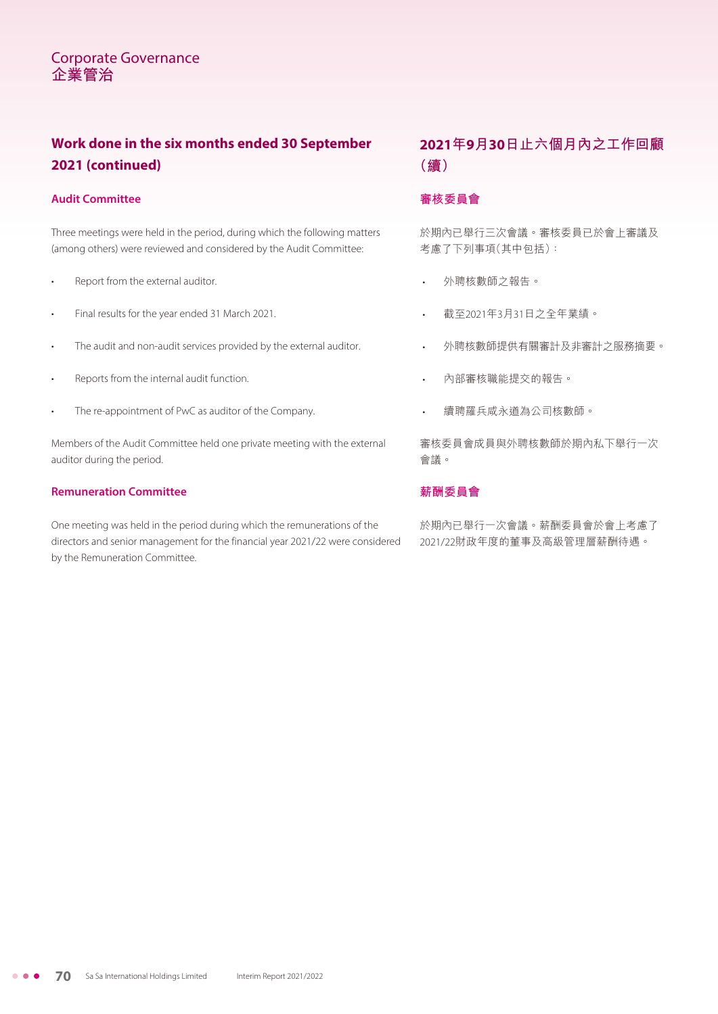## **Work done in the six months ended 30 September 2021 (continued)**

#### **Audit Committee**

Three meetings were held in the period, during which the following matters (among others) were reviewed and considered by the Audit Committee:

- Report from the external auditor.
- Final results for the year ended 31 March 2021.
- The audit and non-audit services provided by the external auditor.
- Reports from the internal audit function.
- The re-appointment of PwC as auditor of the Company.

Members of the Audit Committee held one private meeting with the external auditor during the period.

#### **Remuneration Committee**

One meeting was held in the period during which the remunerations of the directors and senior management for the financial year 2021/22 were considered by the Remuneration Committee.

## **2021年9月30日止六個月內之工作回顧 (續)**

#### **審核委員會**

於期內已舉行三次會議。審核委員已於會上審議及 考慮了下列事項(其中包括):

- 外聘核數師之報告。
- 截至2021年3月31日之全年業績。
- 外聘核數師提供有關審計及非審計之服務摘要。
- 內部審核職能提交的報告。
- 續聘羅兵咸永道為公司核數師。

審核委員會成員與外聘核數師於期內私下舉行一次 會議。

#### **薪酬委員會**

於期內已舉行一次會議。薪酬委員會於會上考慮了 2021/22財政年度的董事及高級管理層薪酬待遇。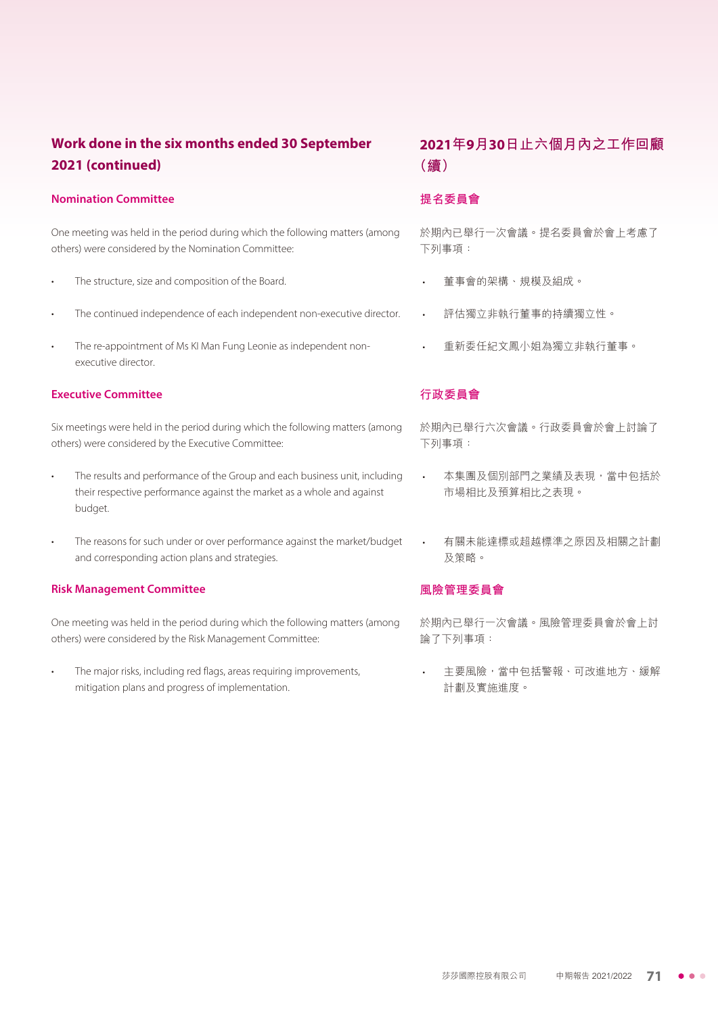## **Work done in the six months ended 30 September 2021 (continued)**

#### **Nomination Committee**

One meeting was held in the period during which the following matters (among others) were considered by the Nomination Committee:

- The structure, size and composition of the Board.
- The continued independence of each independent non-executive director.
- The re-appointment of Ms KI Man Fung Leonie as independent nonexecutive director.

#### **Executive Committee**

Six meetings were held in the period during which the following matters (among others) were considered by the Executive Committee:

- The results and performance of the Group and each business unit, including their respective performance against the market as a whole and against budget.
- The reasons for such under or over performance against the market/budget and corresponding action plans and strategies.

#### **Risk Management Committee**

One meeting was held in the period during which the following matters (among others) were considered by the Risk Management Committee:

The major risks, including red flags, areas requiring improvements, mitigation plans and progress of implementation.

## **2021年9月30日止六個月內之工作回顧 (續)**

#### **提名委員會**

於期內已舉行一次會議。提名委員會於會上考慮了 下列事項:

- 董事會的架構、規模及組成。
- 評估獨立非執行董事的持續獨立性。
- 重新委任紀文鳳小姐為獨立非執行董事。

#### **行政委員會**

於期內已舉行六次會議。行政委員會於會上討論了 下列事項:

- 本集團及個別部門之業績及表現,當中包括於 市場相比及預算相比之表現。
- 有關未能達標或超越標準之原因及相關之計劃 及策略。

#### **風險管理委員會**

於期內已舉行一次會議。風險管理委員會於會上討 論了下列事項:

主要風險,當中包括警報、可改進地方、緩解 計劃及實施進度。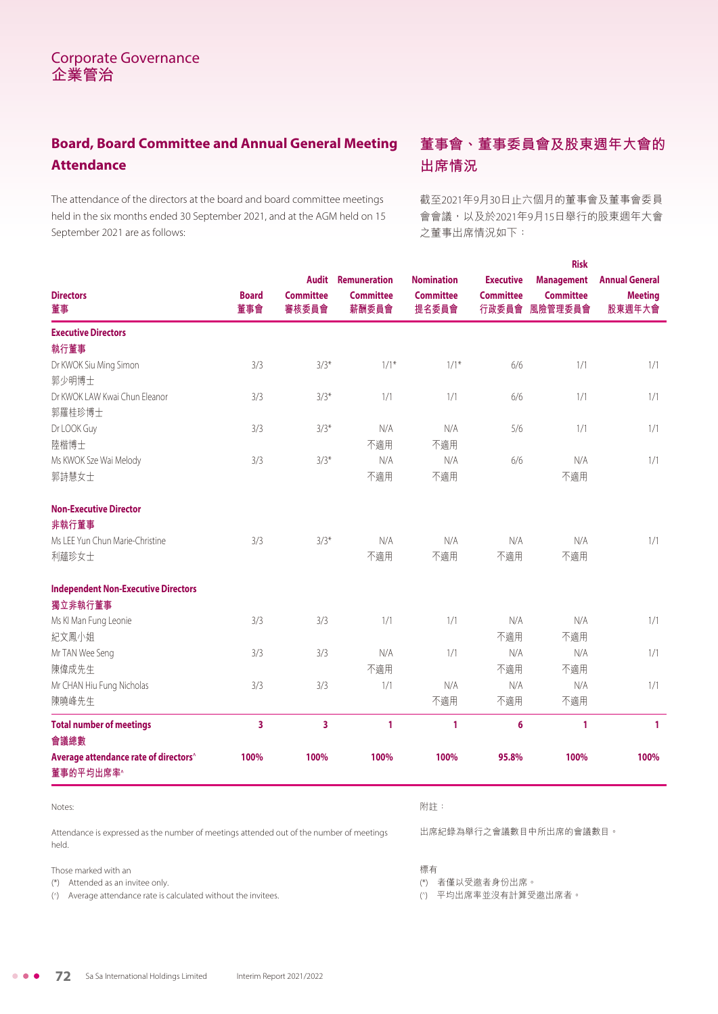## **Board, Board Committee and Annual General Meeting Attendance**

The attendance of the directors at the board and board committee meetings held in the six months ended 30 September 2021, and at the AGM held on 15 September 2021 are as follows:

## **董事會、董事委員會及股東週年大會的 出席情況**

截至2021年9月30日止六個月的董事會及董事會委員 會會議,以及於2021年9月15日舉行的股東週年大會 之董事出席情況如下:

|                                                                |                     |                                           |                                                  |                                                |                                               | <b>Risk</b>                                      |                                                   |
|----------------------------------------------------------------|---------------------|-------------------------------------------|--------------------------------------------------|------------------------------------------------|-----------------------------------------------|--------------------------------------------------|---------------------------------------------------|
| <b>Directors</b><br>董事                                         | <b>Board</b><br>董事會 | <b>Audit</b><br><b>Committee</b><br>審核委員會 | <b>Remuneration</b><br><b>Committee</b><br>薪酬委員會 | <b>Nomination</b><br><b>Committee</b><br>提名委員會 | <b>Executive</b><br><b>Committee</b><br>行政委員會 | <b>Management</b><br><b>Committee</b><br>風險管理委員會 | <b>Annual General</b><br><b>Meeting</b><br>股東週年大會 |
| <b>Executive Directors</b>                                     |                     |                                           |                                                  |                                                |                                               |                                                  |                                                   |
| 執行董事                                                           |                     |                                           |                                                  |                                                |                                               |                                                  |                                                   |
| Dr KWOK Siu Ming Simon                                         | 3/3                 | $3/3*$                                    | $1/1*$                                           | $1/1*$                                         | 6/6                                           | 1/1                                              | 1/1                                               |
| 郭少明博士                                                          |                     |                                           |                                                  |                                                |                                               |                                                  |                                                   |
| Dr KWOK LAW Kwai Chun Eleanor                                  | 3/3                 | $3/3*$                                    | 1/1                                              | 1/1                                            | 6/6                                           | 1/1                                              | 1/1                                               |
| 郭羅桂珍博士                                                         |                     |                                           |                                                  |                                                |                                               |                                                  |                                                   |
| Dr LOOK Guy                                                    | 3/3                 | $3/3*$                                    | N/A                                              | N/A                                            | 5/6                                           | 1/1                                              | 1/1                                               |
| 陸楷博士                                                           |                     |                                           | 不適用                                              | 不適用                                            |                                               |                                                  |                                                   |
| Ms KWOK Sze Wai Melody                                         | 3/3                 | $3/3*$                                    | N/A                                              | N/A                                            | 6/6                                           | N/A                                              | 1/1                                               |
| 郭詩慧女士                                                          |                     |                                           | 不適用                                              | 不適用                                            |                                               | 不適用                                              |                                                   |
| <b>Non-Executive Director</b>                                  |                     |                                           |                                                  |                                                |                                               |                                                  |                                                   |
| 非執行董事                                                          |                     |                                           |                                                  |                                                |                                               |                                                  |                                                   |
| Ms LEE Yun Chun Marie-Christine                                | 3/3                 | $3/3*$                                    | N/A                                              | N/A                                            | N/A                                           | N/A                                              | 1/1                                               |
| 利蘊珍女士                                                          |                     |                                           | 不適用                                              | 不適用                                            | 不適用                                           | 不適用                                              |                                                   |
| <b>Independent Non-Executive Directors</b>                     |                     |                                           |                                                  |                                                |                                               |                                                  |                                                   |
| 獨立非執行董事                                                        |                     |                                           |                                                  |                                                |                                               |                                                  |                                                   |
| Ms KI Man Fung Leonie                                          | 3/3                 | 3/3                                       | 1/1                                              | 1/1                                            | N/A                                           | N/A                                              | 1/1                                               |
| 紀文鳳小姐                                                          |                     |                                           |                                                  |                                                | 不適用                                           | 不適用                                              |                                                   |
| Mr TAN Wee Seng                                                | 3/3                 | 3/3                                       | N/A                                              | 1/1                                            | N/A                                           | N/A                                              | 1/1                                               |
| 陳偉成先生                                                          |                     |                                           | 不適用                                              |                                                | 不適用                                           | 不適用                                              |                                                   |
| Mr CHAN Hiu Fung Nicholas                                      | 3/3                 | 3/3                                       | 1/1                                              | N/A                                            | N/A                                           | N/A                                              | 1/1                                               |
| 陳曉峰先生                                                          |                     |                                           |                                                  | 不適用                                            | 不適用                                           | 不適用                                              |                                                   |
| <b>Total number of meetings</b><br>會議總數                        | 3                   | 3                                         | 1                                                | 1                                              | 6                                             | 1                                                | 1                                                 |
| Average attendance rate of directors <sup>^</sup><br>董事的平均出席率^ | 100%                | 100%                                      | 100%                                             | 100%                                           | 95.8%                                         | 100%                                             | 100%                                              |
| Notes:                                                         |                     |                                           |                                                  | 附註:                                            |                                               |                                                  |                                                   |

Attendance is expressed as the number of meetings attended out of the number of meetings held.

Those marked with an

(\*) Attended as an invitee only.

(^) Average attendance rate is calculated without the invitees.

出席紀錄為舉行之會議數目中所出席的會議數目。

標有

(\*) 者僅以受邀者身份出席。

( ^) 平均出席率並沒有計算受邀出席者。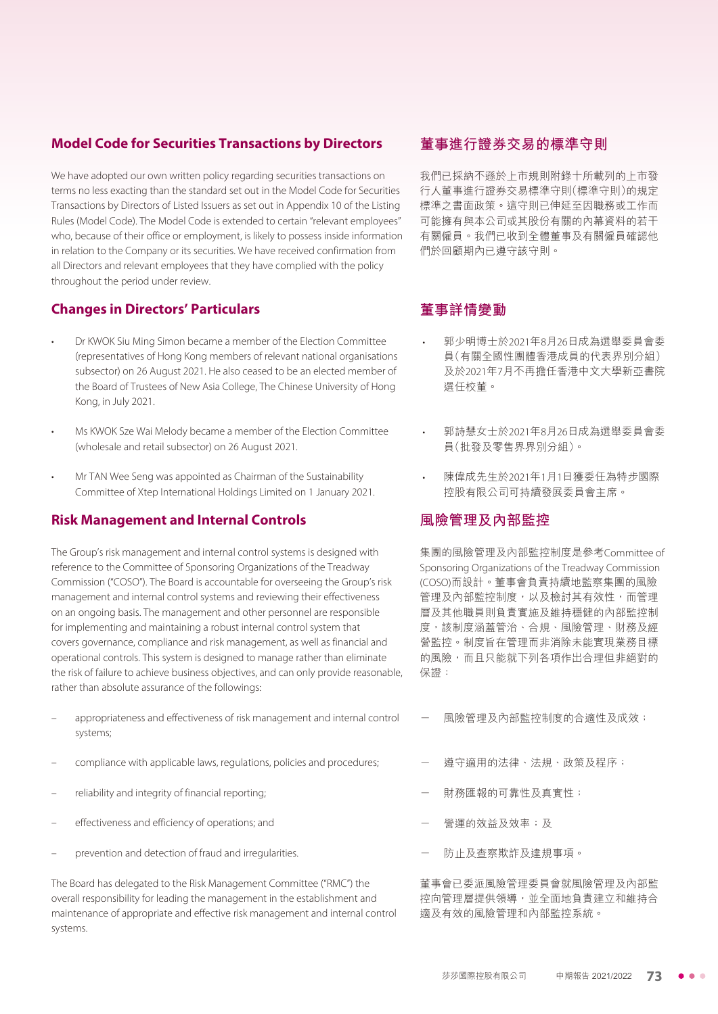#### **Model Code for Securities Transactions by Directors**

We have adopted our own written policy regarding securities transactions on terms no less exacting than the standard set out in the Model Code for Securities Transactions by Directors of Listed Issuers as set out in Appendix 10 of the Listing Rules (Model Code). The Model Code is extended to certain "relevant employees" who, because of their office or employment, is likely to possess inside information in relation to the Company or its securities. We have received confirmation from all Directors and relevant employees that they have complied with the policy throughout the period under review.

#### **Changes in Directors' Particulars**

- Dr KWOK Siu Ming Simon became a member of the Election Committee (representatives of Hong Kong members of relevant national organisations subsector) on 26 August 2021. He also ceased to be an elected member of the Board of Trustees of New Asia College, The Chinese University of Hong Kong, in July 2021.
- Ms KWOK Sze Wai Melody became a member of the Election Committee (wholesale and retail subsector) on 26 August 2021.
- Mr TAN Wee Seng was appointed as Chairman of the Sustainability Committee of Xtep International Holdings Limited on 1 January 2021.

#### **Risk Management and Internal Controls**

The Group's risk management and internal control systems is designed with reference to the Committee of Sponsoring Organizations of the Treadway Commission ("COSO"). The Board is accountable for overseeing the Group's risk management and internal control systems and reviewing their effectiveness on an ongoing basis. The management and other personnel are responsible for implementing and maintaining a robust internal control system that covers governance, compliance and risk management, as well as financial and operational controls. This system is designed to manage rather than eliminate the risk of failure to achieve business objectives, and can only provide reasonable, rather than absolute assurance of the followings:

- appropriateness and effectiveness of risk management and internal control systems;
- compliance with applicable laws, regulations, policies and procedures;
- reliability and integrity of financial reporting;
- effectiveness and efficiency of operations; and
- prevention and detection of fraud and irregularities.

The Board has delegated to the Risk Management Committee ("RMC") the overall responsibility for leading the management in the establishment and maintenance of appropriate and effective risk management and internal control systems.

#### **董事進行證券交易的標準守則**

我們已採納不遜於上市規則附錄十所載列的上市發 行人董事進行證券交易標準守則(標準守則)的規定 標準之書面政策。這守則已伸延至因職務或工作而 可能擁有與本公司或其股份有關的內幕資料的若干 有關僱員。我們已收到全體董事及有關僱員確認他 們於回顧期內已遵守該守則。

## **董事詳情變動**

- 郭少明博士於2021年8月26日成為選舉委員會委 員(有關全國性團體香港成員的代表界別分組) 及於2021年7月不再擔任香港中文大學新亞書院 選任校董。
- 郭詩慧女士於2021年8月26日成為選舉委員會委 員(批發及零售界界別分組)。
- 陳偉成先生於2021年1月1日獲委任為特步國際 控股有限公司可持續發展委員會主席。

#### **風險管理及內部監控**

集團的風險管理及內部監控制度是參考Committee of Sponsoring Organizations of the Treadway Commission (COSO)而設計。董事會負責持續地監察集團的風險 管理及內部監控制度,以及檢討其有效性,而管理 層及其他職員則負責實施及維持穩健的內部監控制 度,該制度涵蓋管治、合規、風險管理、財務及經 營監控。制度旨在管理而非消除未能實現業務目標 的風險,而且只能就下列各項作出合理但非絕對的 保證:

- 風險管理及內部監控制度的合適性及成效;
- 遵守適用的法律、法規、政策及程序;
- 財務匯報的可靠性及真實性;
- 營運的效益及效率;及
- 防止及查察欺詐及違規事項。

董事會已委派風險管理委員會就風險管理及內部監 控向管理層提供領導,並全面地負責建立和維持合 適及有效的風險管理和內部監控系統。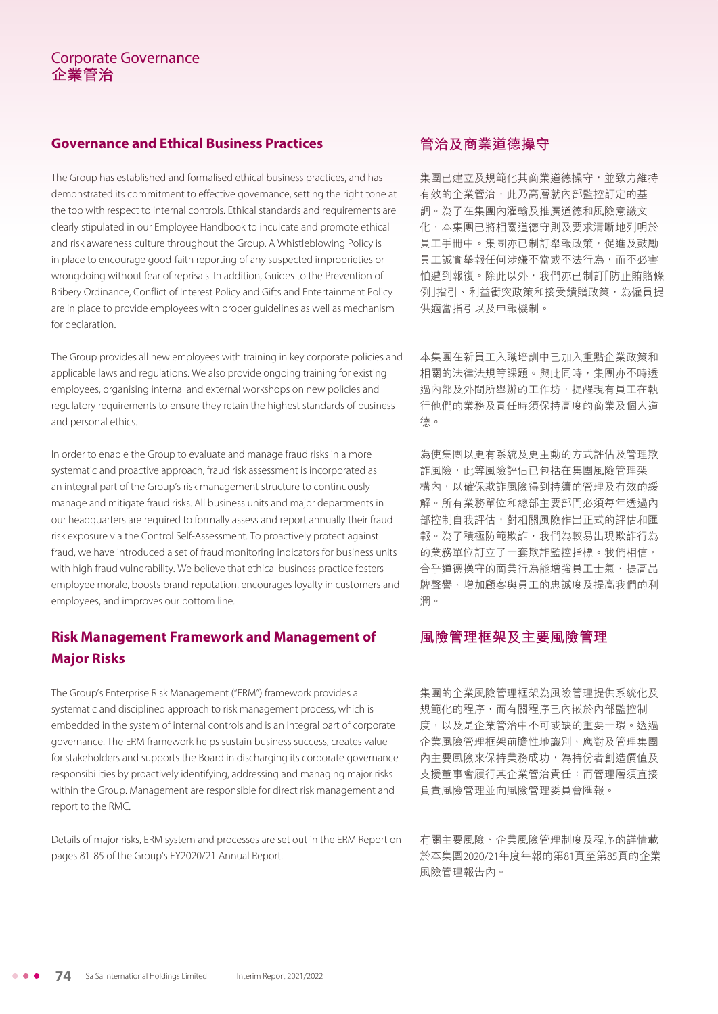#### **Governance and Ethical Business Practices**

The Group has established and formalised ethical business practices, and has demonstrated its commitment to effective governance, setting the right tone at the top with respect to internal controls. Ethical standards and requirements are clearly stipulated in our Employee Handbook to inculcate and promote ethical and risk awareness culture throughout the Group. A Whistleblowing Policy is in place to encourage good-faith reporting of any suspected improprieties or wrongdoing without fear of reprisals. In addition, Guides to the Prevention of Bribery Ordinance, Conflict of Interest Policy and Gifts and Entertainment Policy are in place to provide employees with proper guidelines as well as mechanism for declaration.

The Group provides all new employees with training in key corporate policies and applicable laws and regulations. We also provide ongoing training for existing employees, organising internal and external workshops on new policies and regulatory requirements to ensure they retain the highest standards of business and personal ethics.

In order to enable the Group to evaluate and manage fraud risks in a more systematic and proactive approach, fraud risk assessment is incorporated as an integral part of the Group's risk management structure to continuously manage and mitigate fraud risks. All business units and major departments in our headquarters are required to formally assess and report annually their fraud risk exposure via the Control Self-Assessment. To proactively protect against fraud, we have introduced a set of fraud monitoring indicators for business units with high fraud vulnerability. We believe that ethical business practice fosters employee morale, boosts brand reputation, encourages loyalty in customers and employees, and improves our bottom line.

## **Risk Management Framework and Management of Major Risks**

The Group's Enterprise Risk Management ("ERM") framework provides a systematic and disciplined approach to risk management process, which is embedded in the system of internal controls and is an integral part of corporate governance. The ERM framework helps sustain business success, creates value for stakeholders and supports the Board in discharging its corporate governance responsibilities by proactively identifying, addressing and managing major risks within the Group. Management are responsible for direct risk management and report to the RMC.

Details of major risks, ERM system and processes are set out in the ERM Report on pages 81-85 of the Group's FY2020/21 Annual Report.

## **管治及商業道德操守**

集團已建立及規範化其商業道德操守,並致力維持 有效的企業管治,此乃高層就內部監控訂定的基 調。為了在集團內灌輸及推廣道德和風險意識文 化,本集團已將相關道德守則及要求清晰地列明於 員工手冊中。集團亦已制訂舉報政策,促進及鼓勵 員工誠實舉報任何涉嫌不當或不法行為,而不必害 怕遭到報復。除此以外,我們亦已制訂「防止賄賂條 例」指引、利益衝突政策和接受饋贈政策,為僱員提 供適當指引以及申報機制。

本集團在新員工入職培訓中已加入重點企業政策和 相關的法律法規等課題。與此同時,集團亦不時诱 過內部及外間所舉辦的工作坊,提醒現有員工在執 行他們的業務及責任時須保持高度的商業及個人道 德。

為使集團以更有系統及更主動的方式評估及管理欺 詐風險,此等風險評估已包括在集團風險管理架 構內,以確保欺詐風險得到持續的管理及有效的緩 解。所有業務單位和總部主要部門必須每年透過內 部控制自我評估,對相關風險作出正式的評估和匯 報。為了積極防範欺詐,我們為較易出現欺詐行為 的業務單位訂立了一套欺詐監控指標。我們相信, 合乎道德操守的商業行為能增強員工士氣、提高品 牌聲譽、增加顧客與員工的忠誠度及提高我們的利 潤。

#### **風險管理框架及主要風險管理**

集團的企業風險管理框架為風險管理提供系統化及 規範化的程序,而有關程序已內嵌於內部監控制 度,以及是企業管治中不可或缺的重要一環。透過 企業風險管理框架前瞻性地識別、應對及管理集團 內主要風險來保持業務成功,為持份者創造價值及 支援董事會履行其企業管治責任;而管理層須直接 負責風險管理並向風險管理委員會匯報。

有關主要風險、企業風險管理制度及程序的詳情載 於本集團2020/21年度年報的第81頁至第85頁的企業 風險管理報告內。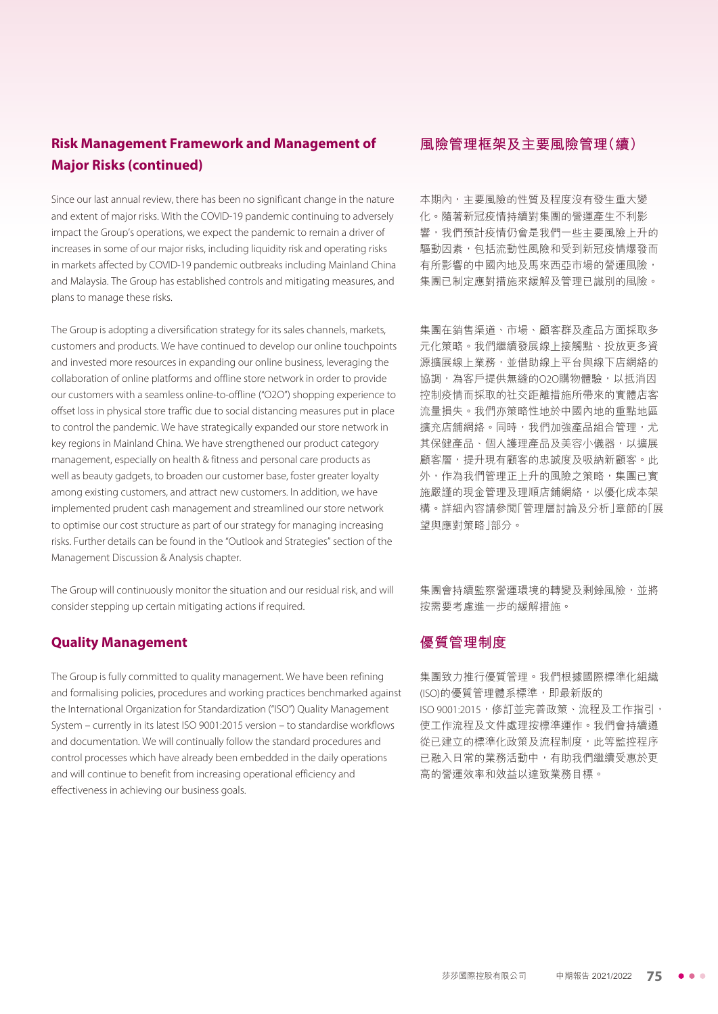## **Risk Management Framework and Management of Major Risks (continued)**

Since our last annual review, there has been no significant change in the nature and extent of major risks. With the COVID-19 pandemic continuing to adversely impact the Group's operations, we expect the pandemic to remain a driver of increases in some of our major risks, including liquidity risk and operating risks in markets affected by COVID-19 pandemic outbreaks including Mainland China and Malaysia. The Group has established controls and mitigating measures, and plans to manage these risks.

The Group is adopting a diversification strategy for its sales channels, markets, customers and products. We have continued to develop our online touchpoints and invested more resources in expanding our online business, leveraging the collaboration of online platforms and offline store network in order to provide our customers with a seamless online-to-offline ("O2O") shopping experience to offset loss in physical store traffic due to social distancing measures put in place to control the pandemic. We have strategically expanded our store network in key regions in Mainland China. We have strengthened our product category management, especially on health & fitness and personal care products as well as beauty gadgets, to broaden our customer base, foster greater loyalty among existing customers, and attract new customers. In addition, we have implemented prudent cash management and streamlined our store network to optimise our cost structure as part of our strategy for managing increasing risks. Further details can be found in the "Outlook and Strategies" section of the Management Discussion & Analysis chapter.

The Group will continuously monitor the situation and our residual risk, and will consider stepping up certain mitigating actions if required.

#### **Quality Management**

The Group is fully committed to quality management. We have been refining and formalising policies, procedures and working practices benchmarked against the International Organization for Standardization ("ISO") Quality Management System – currently in its latest ISO 9001:2015 version – to standardise workflows and documentation. We will continually follow the standard procedures and control processes which have already been embedded in the daily operations and will continue to benefit from increasing operational efficiency and effectiveness in achieving our business goals.

#### **風險管理框架及主要風險管理(續)**

本期內,主要風險的性質及程度沒有發生重大變 化。隨著新冠疫情持續對集團的營運產生不利影 響,我們預計疫情仍會是我們一些主要風險上升的 驅動因素,包括流動性風險和受到新冠疫情爆發而 有所影響的中國內地及馬來西亞市場的營運風險, 集團已制定應對措施來緩解及管理已識別的風險。

集團在銷售渠道、市場、顧客群及產品方面採取多 元化策略。我們繼續發展線上接觸點、投放更多資 源擴展線上業務,並借助線上平台與線下店網絡的 協調,為客戶提供無縫的O2O購物體驗,以抵消因 控制疫情而採取的社交距離措施所帶來的實體店客 流量損失。我們亦策略性地於中國內地的重點地區 擴充店舖網絡。同時,我們加強產品組合管理,尤 其保健產品、個人護理產品及美容小儀器,以擴展 顧客層,提升現有顧客的忠誠度及吸納新顧客。此 外,作為我們管理正上升的風險之策略,集團已實 施嚴謹的現金管理及理順店鋪網絡,以優化成本架 構。詳細內容請參閱「管理層討論及分析」章節的「展 望與應對策略」部分。

集團會持續監察營運環境的轉變及剩餘風險,並將 按需要考慮進一步的緩解措施。

### **優質管理制度**

集團致力推行優質管理。我們根據國際標準化組織 (ISO)的優質管理體系標準,即最新版的 ISO 9001:2015, 修訂並完善政策、流程及工作指引, 使工作流程及文件處理按標準運作。我們會持續遵 從已建立的標準化政策及流程制度,此等監控程序 已融入日常的業務活動中,有助我們繼續受惠於更 高的營運效率和效益以達致業務目標。